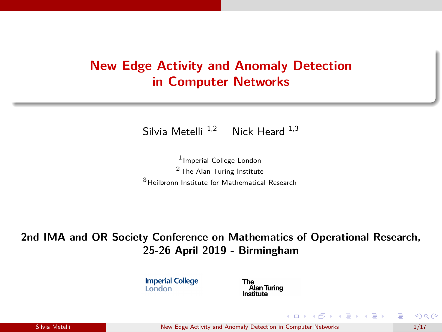## **New Edge Activity and Anomaly Detection in Computer Networks**

Silvia Metelli  $^{1,2}$  Nick Heard  $^{1,3}$ 

<sup>1</sup> Imperial College London <sup>2</sup>The Alan Turing Institute  $3$ Heilbronn Institute for Mathematical Research

**2nd IMA and OR Society Conference on Mathematics of Operational Research, 25-26 April 2019 - Birmingham**

> **Imperial College London**

Alan Turing Institute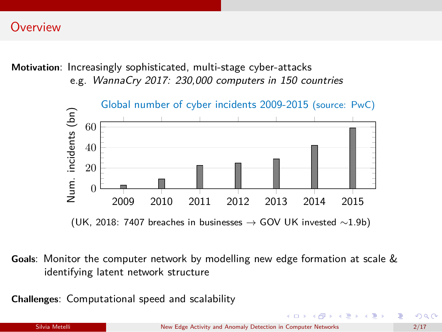### **Overview**

**Motivation**: Increasingly sophisticated, multi-stage cyber-attacks e.g. *WannaCry 2017: 230,000 computers in 150 countries*



(UK, 2018: 7407 breaches in businesses  $\rightarrow$  GOV UK invested  $\sim$ 1.9b)

**Goals**: Monitor the computer network by modelling new edge formation at scale & identifying latent network structure

**Challenges**: Computational speed and scalability

 $\mathcal{A} \subset \mathbb{R}^n \times \mathbb{R}^n \times \mathbb{R}^n \times \mathbb{R}^n$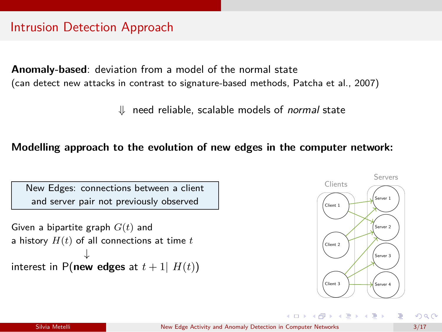### Intrusion Detection Approach

**Anomaly-based**: deviation from a model of the normal state (can detect new attacks in contrast to signature-based methods, Patcha et al., 2007)

⇓ need reliable, scalable models of *normal* state

#### **Modelling approach to the evolution of new edges in the computer network:**

New Edges: connections between a client and server pair not previously observed

Given a bipartite graph *G*(*t*) and a history *H*(*t*) of all connections at time *t* interest in P(**new edges** at *t* + 1| *H*(*t*))



 $\left\{ \begin{array}{ccc} 1 & 0 & 0 \\ 0 & 1 & 0 \end{array} \right.$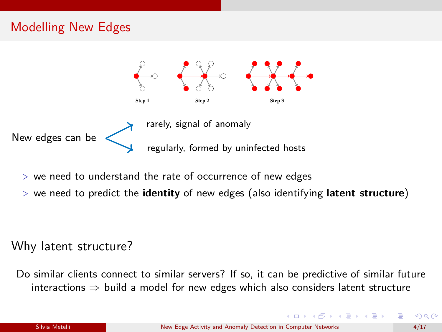## Modelling New Edges



- ≥ we need to understand the rate of occurrence of new edges  $\mathbf{S}$
- on the LANL data. In this chapter, demonstrations of modelling techniques of relevance to *⊲* we need to predict the **identity** of new edges (also identifying **latent structure**)

#### $T$  motivating data set used in this chapter was obtained from Los Alamos National Labora- $\mathcal{L}$ Why latent structure?

Do similar clients connect to similar servers? If so, it can be predictive of similar future interactions  $\Rightarrow$  build a model for new edges which also considers latent structure address. In particular, the data which will be used for an analysis is a discrete time-series of sum-series of

**KID KARA KE KARA YEN**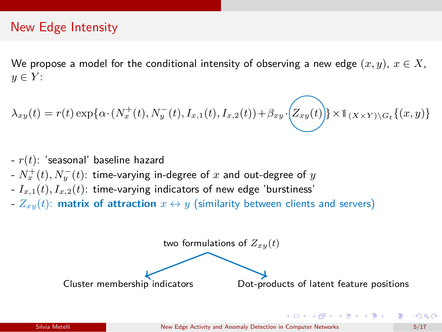### New Edge Intensity

We propose a model for the conditional intensity of observing a new edge  $(x, y)$ ,  $x \in X$ ,  $y \in Y$ :

$$
\lambda_{xy}(t) = r(t) \exp{\lbrace \alpha \cdot (N_x^+(t), N_y^-(t), I_{x,1}(t), I_{x,2}(t)) + \beta_{xy} \cdot (Z_{xy}(t)) \rbrace} \times \mathbb{I}_{(X \times Y) \setminus G_t} \{(x, y)\}
$$

- *r*(*t*): 'seasonal' baseline hazard
- $N_x^+(t), N_y^-(t)$ : time-varying in-degree of  $x$  and out-degree of  $y$
- $I_{x,1}(t)$ ,  $I_{x,2}(t)$ : time-varying indicators of new edge 'burstiness'
- $Z_{xy}(t)$ : **matrix of attraction**  $x \leftrightarrow y$  (similarity between clients and servers)

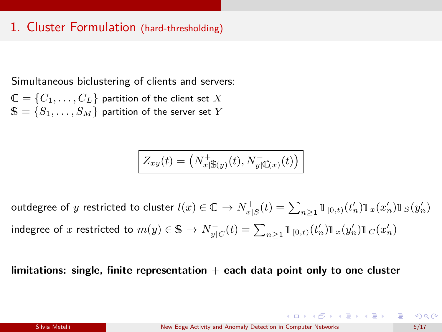### 1. Cluster Formulation (hard-thresholding)

Simultaneous biclustering of clients and servers:

 $\mathbb{C} = \{C_1, \ldots, C_L\}$  partition of the client set X  $\mathbf{S} = \{S_1, \ldots, S_M\}$  partition of the server set *Y* 

$$
Z_{xy}(t) = \left(N_{x|\mathbf{\mathbb{S}}(y)}^+(t), N_{y|\mathbf{\mathbb{C}}(x)}^-(t)\right)
$$

outdegree of *y* restricted to cluster  $l(x) \in \mathbb{C} \to N_{x|S}^+(t) = \sum_{n \geq 1} \mathbb{I}_{[0,t)}(t'_n) \mathbb{I}_x(x'_n) \mathbb{I}_S(y'_n)$ indegree of *x* restricted to  $m(y) \in \mathbb{S} \to N_{y|C}^-(t) = \sum_{n \geq 1} \mathbb{I}_{[0,t)}(t'_n) \mathbb{I}_x(y'_n) \mathbb{I}_C(x'_n)$ 

**limitations: single, finite representation** + **each data point only to one cluster**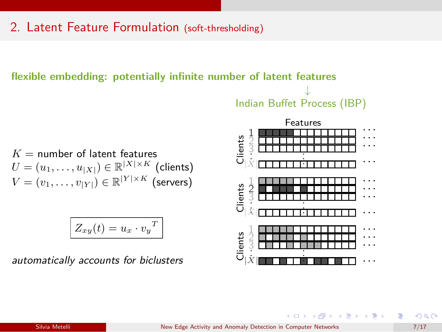### 2. Latent Feature Formulation (soft-thresholding)

#### **flexible embedding: potentially infinite number of latent features**

↓ Indian Buffet Process (IBP)

 $K =$  number of latent features  $U = (u_1, \ldots, u_{|X|}) \in \mathbb{R}^{|X| \times K}$  (clients)  $V = (v_1, \ldots, v_{|Y|}) \in \mathbb{R}^{|Y| \times K}$  (servers)

$$
Z_{xy}(t) = u_x \cdot v_y^T
$$

*automatically accounts for biclusters*

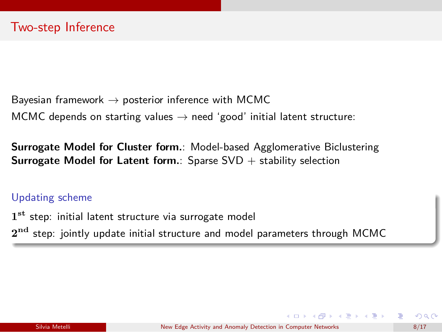Bayesian framework  $\rightarrow$  posterior inference with MCMC MCMC depends on starting values  $\rightarrow$  need 'good' initial latent structure:

**Surrogate Model for Cluster form.**: Model-based Agglomerative Biclustering **Surrogate Model for Latent form.**: Sparse SVD + stability selection

#### Updating scheme

**1st** step: initial latent structure via surrogate model **2nd** step: jointly update initial structure and model parameters through MCMC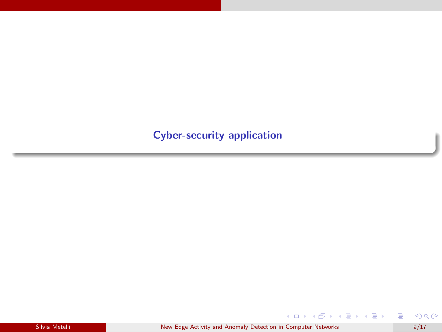### **Cyber-security application**

Silvia Metelli New Edge Activity and Anomaly Detection in Computer Networks 9/17

重

メロトメ 御 トメ 君 トメ 君 トー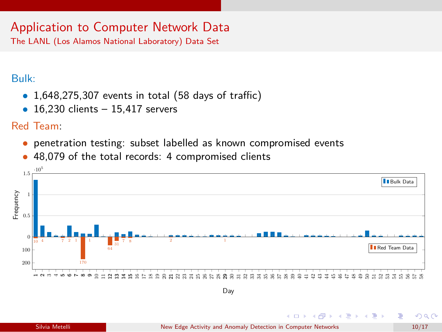# Application to Computer Network Data

The LANL (Los Alamos National Laboratory) Data Set

### Bulk:

- *•* 1,648,275,307 events in total (58 days of traffic)
- *•* 16,230 clients 15,417 servers

### Red Team:

- *•* penetration testing: subset labelled as known compromised events
- *•* 48,079 of the total records: 4 compromised clients

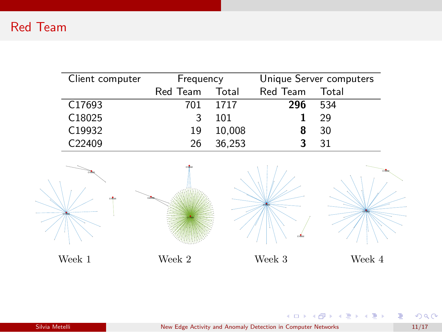| Client computer    | Frequency |        | Unique Server computers |       |
|--------------------|-----------|--------|-------------------------|-------|
|                    | Red Team  | Total  | Red Team                | Total |
| C <sub>17693</sub> | 701       | 1717   | 296                     | 534   |
| C18025             |           | 101    |                         | 29    |
| C19932             | 19        | 10,008 | 8                       | 30    |
| C <sub>22409</sub> | 26        | 36.253 |                         | 31    |



Silvia Metelli New Edge Activity and Anomaly Detection in Computer Networks 11/17

重

K ロ ▶ K 個 ▶ K 君 ▶ K 君 ▶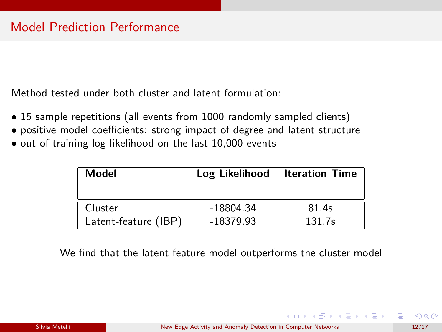Method tested under both cluster and latent formulation:

- 15 sample repetitions (all events from 1000 randomly sampled clients)
- *•* positive model coefficients: strong impact of degree and latent structure
- *•* out-of-training log likelihood on the last 10,000 events

| Model                | Log Likelihood | <b>Iteration Time</b> |
|----------------------|----------------|-----------------------|
| Cluster              | -18804.34      | 81.4s                 |
| Latent-feature (IBP) | $-18379.93$    | 131.7s                |

We find that the latent feature model outperforms the cluster model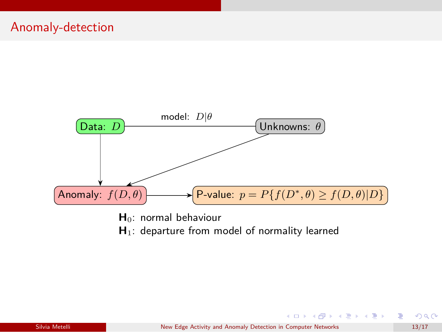

- **H**0: normal behaviour
- H<sub>1</sub>: departure from model of normality learned

∍

メロトメ 伊 トメ ミトメ ミト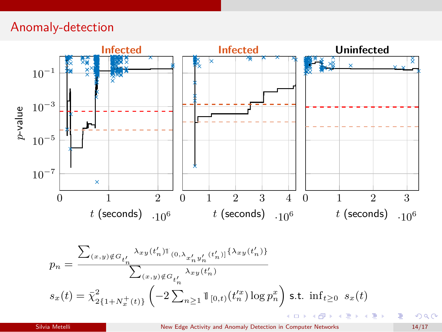### Anomaly-detection



Silvia Metelli New Edge Activity and Anomaly Detection in Computer Networks 14/17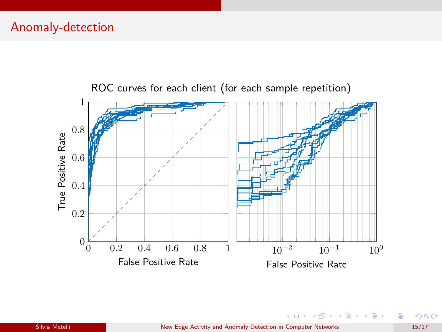

ROC curves for each client (for each sample repetition)

É

メロメ メ御 メメ ヨメ メヨメ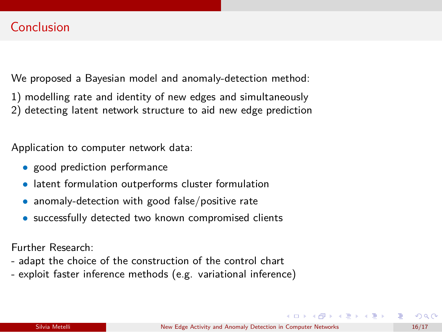We proposed a Bayesian model and anomaly-detection method:

- 1) modelling rate and identity of new edges and simultaneously
- 2) detecting latent network structure to aid new edge prediction

Application to computer network data:

- *•* good prediction performance
- *•* latent formulation outperforms cluster formulation
- *•* anomaly-detection with good false/positive rate
- *•* successfully detected two known compromised clients

Further Research:

- adapt the choice of the construction of the control chart
- exploit faster inference methods (e.g. variational inference)